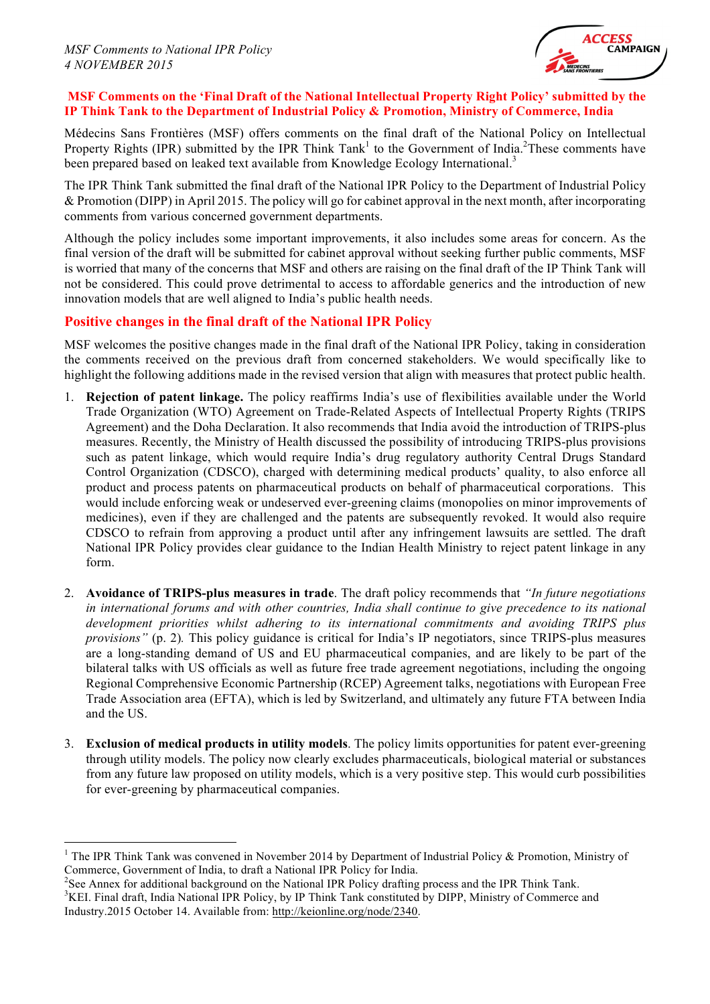<u> 1989 - Johann Barn, mars ann an t-Amhain an t-Amhain an t-Amhain an t-Amhain an t-Amhain an t-Amhain an t-Amh</u>



#### **MSF Comments on the 'Final Draft of the National Intellectual Property Right Policy' submitted by the IP Think Tank to the Department of Industrial Policy & Promotion, Ministry of Commerce, India**

Médecins Sans Frontières (MSF) offers comments on the final draft of the National Policy on Intellectual Property Rights (IPR) submitted by the IPR Think Tank<sup>1</sup> to the Government of India.<sup>2</sup> These comments have been prepared based on leaked text available from Knowledge Ecology International.<sup>3</sup>

The IPR Think Tank submitted the final draft of the National IPR Policy to the Department of Industrial Policy & Promotion (DIPP) in April 2015. The policy will go for cabinet approval in the next month, after incorporating comments from various concerned government departments.

Although the policy includes some important improvements, it also includes some areas for concern. As the final version of the draft will be submitted for cabinet approval without seeking further public comments, MSF is worried that many of the concerns that MSF and others are raising on the final draft of the IP Think Tank will not be considered. This could prove detrimental to access to affordable generics and the introduction of new innovation models that are well aligned to India's public health needs.

# **Positive changes in the final draft of the National IPR Policy**

MSF welcomes the positive changes made in the final draft of the National IPR Policy, taking in consideration the comments received on the previous draft from concerned stakeholders. We would specifically like to highlight the following additions made in the revised version that align with measures that protect public health.

- 1. **Rejection of patent linkage.** The policy reaffirms India's use of flexibilities available under the World Trade Organization (WTO) Agreement on Trade-Related Aspects of Intellectual Property Rights (TRIPS Agreement) and the Doha Declaration. It also recommends that India avoid the introduction of TRIPS-plus measures. Recently, the Ministry of Health discussed the possibility of introducing TRIPS-plus provisions such as patent linkage, which would require India's drug regulatory authority Central Drugs Standard Control Organization (CDSCO), charged with determining medical products' quality, to also enforce all product and process patents on pharmaceutical products on behalf of pharmaceutical corporations. This would include enforcing weak or undeserved ever-greening claims (monopolies on minor improvements of medicines), even if they are challenged and the patents are subsequently revoked. It would also require CDSCO to refrain from approving a product until after any infringement lawsuits are settled. The draft National IPR Policy provides clear guidance to the Indian Health Ministry to reject patent linkage in any form.
- 2. **Avoidance of TRIPS-plus measures in trade**. The draft policy recommends that *"In future negotiations in international forums and with other countries, India shall continue to give precedence to its national development priorities whilst adhering to its international commitments and avoiding TRIPS plus provisions"* (p. 2)*.* This policy guidance is critical for India's IP negotiators, since TRIPS-plus measures are a long-standing demand of US and EU pharmaceutical companies, and are likely to be part of the bilateral talks with US officials as well as future free trade agreement negotiations, including the ongoing Regional Comprehensive Economic Partnership (RCEP) Agreement talks, negotiations with European Free Trade Association area (EFTA), which is led by Switzerland, and ultimately any future FTA between India and the US.
- 3. **Exclusion of medical products in utility models**. The policy limits opportunities for patent ever-greening through utility models. The policy now clearly excludes pharmaceuticals, biological material or substances from any future law proposed on utility models, which is a very positive step. This would curb possibilities for ever-greening by pharmaceutical companies.

<sup>&</sup>lt;sup>1</sup> The IPR Think Tank was convened in November 2014 by Department of Industrial Policy & Promotion, Ministry of Commerce, Government of India, to draft a National IPR Policy for India.

<sup>&</sup>lt;sup>2</sup>See Annex for additional background on the National IPR Policy drafting process and the IPR Think Tank.  $3VEL$  Final draft, India Mational IPP Policy by IP Think Tank.

<sup>&</sup>lt;sup>3</sup>KEI. Final draft, India National IPR Policy, by IP Think Tank constituted by DIPP, Ministry of Commerce and Industry.2015 October 14. Available from: http://keionline.org/node/2340.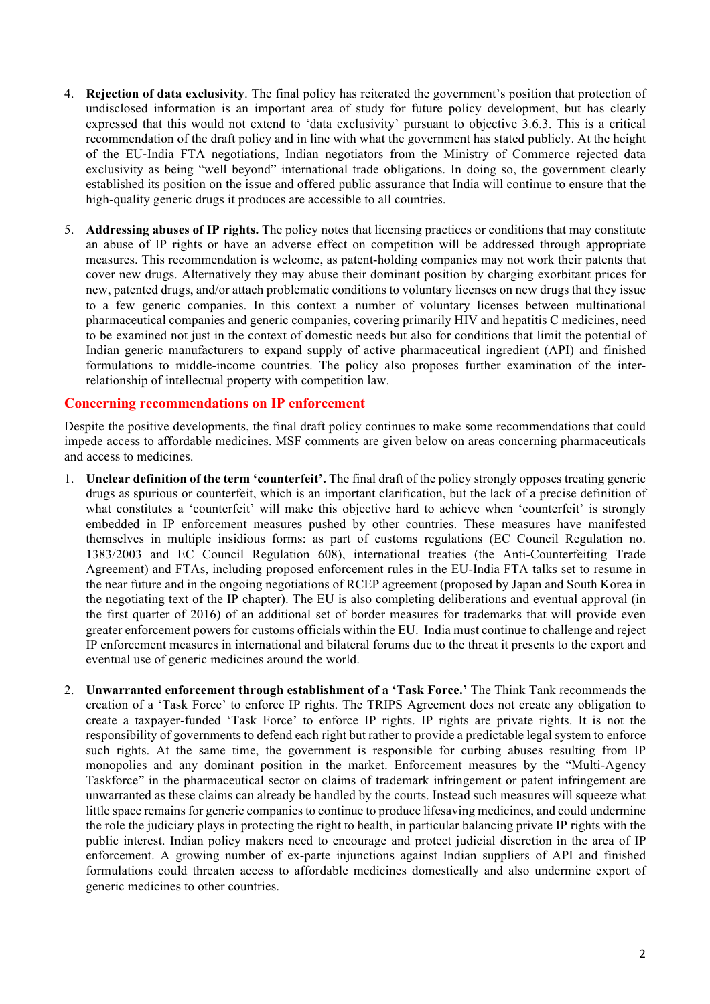- 4. **Rejection of data exclusivity**. The final policy has reiterated the government's position that protection of undisclosed information is an important area of study for future policy development, but has clearly expressed that this would not extend to 'data exclusivity' pursuant to objective 3.6.3. This is a critical recommendation of the draft policy and in line with what the government has stated publicly. At the height of the EU-India FTA negotiations, Indian negotiators from the Ministry of Commerce rejected data exclusivity as being "well beyond" international trade obligations. In doing so, the government clearly established its position on the issue and offered public assurance that India will continue to ensure that the high-quality generic drugs it produces are accessible to all countries.
- 5. **Addressing abuses of IP rights.** The policy notes that licensing practices or conditions that may constitute an abuse of IP rights or have an adverse effect on competition will be addressed through appropriate measures. This recommendation is welcome, as patent-holding companies may not work their patents that cover new drugs. Alternatively they may abuse their dominant position by charging exorbitant prices for new, patented drugs, and/or attach problematic conditions to voluntary licenses on new drugs that they issue to a few generic companies. In this context a number of voluntary licenses between multinational pharmaceutical companies and generic companies, covering primarily HIV and hepatitis C medicines, need to be examined not just in the context of domestic needs but also for conditions that limit the potential of Indian generic manufacturers to expand supply of active pharmaceutical ingredient (API) and finished formulations to middle-income countries. The policy also proposes further examination of the interrelationship of intellectual property with competition law.

#### **Concerning recommendations on IP enforcement**

Despite the positive developments, the final draft policy continues to make some recommendations that could impede access to affordable medicines. MSF comments are given below on areas concerning pharmaceuticals and access to medicines.

- 1. **Unclear definition of the term 'counterfeit'.** The final draft of the policy strongly opposes treating generic drugs as spurious or counterfeit, which is an important clarification, but the lack of a precise definition of what constitutes a 'counterfeit' will make this objective hard to achieve when 'counterfeit' is strongly embedded in IP enforcement measures pushed by other countries. These measures have manifested themselves in multiple insidious forms: as part of customs regulations (EC Council Regulation no. 1383/2003 and EC Council Regulation 608), international treaties (the Anti-Counterfeiting Trade Agreement) and FTAs, including proposed enforcement rules in the EU-India FTA talks set to resume in the near future and in the ongoing negotiations of RCEP agreement (proposed by Japan and South Korea in the negotiating text of the IP chapter). The EU is also completing deliberations and eventual approval (in the first quarter of 2016) of an additional set of border measures for trademarks that will provide even greater enforcement powers for customs officials within the EU. India must continue to challenge and reject IP enforcement measures in international and bilateral forums due to the threat it presents to the export and eventual use of generic medicines around the world.
- 2. **Unwarranted enforcement through establishment of a 'Task Force.'** The Think Tank recommends the creation of a 'Task Force' to enforce IP rights. The TRIPS Agreement does not create any obligation to create a taxpayer-funded 'Task Force' to enforce IP rights. IP rights are private rights. It is not the responsibility of governments to defend each right but rather to provide a predictable legal system to enforce such rights. At the same time, the government is responsible for curbing abuses resulting from IP monopolies and any dominant position in the market. Enforcement measures by the "Multi-Agency Taskforce" in the pharmaceutical sector on claims of trademark infringement or patent infringement are unwarranted as these claims can already be handled by the courts. Instead such measures will squeeze what little space remains for generic companies to continue to produce lifesaving medicines, and could undermine the role the judiciary plays in protecting the right to health, in particular balancing private IP rights with the public interest. Indian policy makers need to encourage and protect judicial discretion in the area of IP enforcement. A growing number of ex-parte injunctions against Indian suppliers of API and finished formulations could threaten access to affordable medicines domestically and also undermine export of generic medicines to other countries.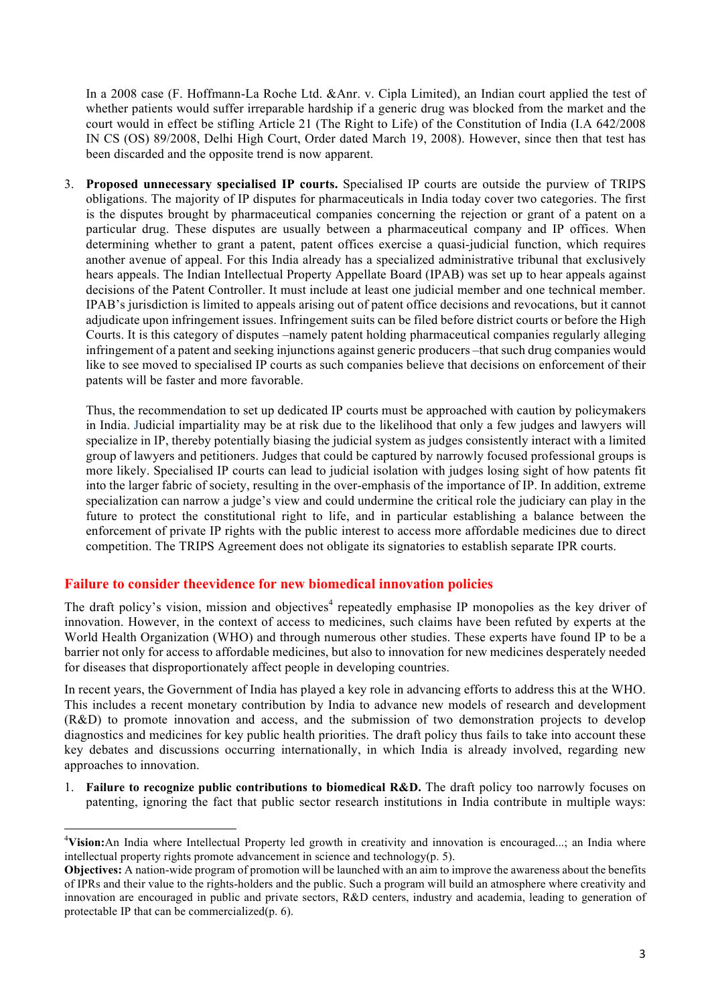In a 2008 case (F. Hoffmann-La Roche Ltd. &Anr. v. Cipla Limited), an Indian court applied the test of whether patients would suffer irreparable hardship if a generic drug was blocked from the market and the court would in effect be stifling Article 21 (The Right to Life) of the Constitution of India (I.A 642/2008 IN CS (OS) 89/2008, Delhi High Court, Order dated March 19, 2008). However, since then that test has been discarded and the opposite trend is now apparent.

3. **Proposed unnecessary specialised IP courts.** Specialised IP courts are outside the purview of TRIPS obligations. The majority of IP disputes for pharmaceuticals in India today cover two categories. The first is the disputes brought by pharmaceutical companies concerning the rejection or grant of a patent on a particular drug. These disputes are usually between a pharmaceutical company and IP offices. When determining whether to grant a patent, patent offices exercise a quasi-judicial function, which requires another avenue of appeal. For this India already has a specialized administrative tribunal that exclusively hears appeals. The Indian Intellectual Property Appellate Board (IPAB) was set up to hear appeals against decisions of the Patent Controller. It must include at least one judicial member and one technical member. IPAB's jurisdiction is limited to appeals arising out of patent office decisions and revocations, but it cannot adjudicate upon infringement issues. Infringement suits can be filed before district courts or before the High Courts. It is this category of disputes –namely patent holding pharmaceutical companies regularly alleging infringement of a patent and seeking injunctions against generic producers –that such drug companies would like to see moved to specialised IP courts as such companies believe that decisions on enforcement of their patents will be faster and more favorable.

Thus, the recommendation to set up dedicated IP courts must be approached with caution by policymakers in India. Judicial impartiality may be at risk due to the likelihood that only a few judges and lawyers will specialize in IP, thereby potentially biasing the judicial system as judges consistently interact with a limited group of lawyers and petitioners. Judges that could be captured by narrowly focused professional groups is more likely. Specialised IP courts can lead to judicial isolation with judges losing sight of how patents fit into the larger fabric of society, resulting in the over-emphasis of the importance of IP. In addition, extreme specialization can narrow a judge's view and could undermine the critical role the judiciary can play in the future to protect the constitutional right to life, and in particular establishing a balance between the enforcement of private IP rights with the public interest to access more affordable medicines due to direct competition. The TRIPS Agreement does not obligate its signatories to establish separate IPR courts.

### **Failure to consider theevidence for new biomedical innovation policies**

<u> 1989 - Johann Barn, mars ann an t-Amhain an t-Amhain an t-Amhain an t-Amhain an t-Amhain an t-Amhain an t-Amh</u>

The draft policy's vision, mission and objectives<sup>4</sup> repeatedly emphasise IP monopolies as the key driver of innovation. However, in the context of access to medicines, such claims have been refuted by experts at the World Health Organization (WHO) and through numerous other studies. These experts have found IP to be a barrier not only for access to affordable medicines, but also to innovation for new medicines desperately needed for diseases that disproportionately affect people in developing countries.

In recent years, the Government of India has played a key role in advancing efforts to address this at the WHO. This includes a recent monetary contribution by India to advance new models of research and development (R&D) to promote innovation and access, and the submission of two demonstration projects to develop diagnostics and medicines for key public health priorities. The draft policy thus fails to take into account these key debates and discussions occurring internationally, in which India is already involved, regarding new approaches to innovation.

1. **Failure to recognize public contributions to biomedical R&D.** The draft policy too narrowly focuses on patenting, ignoring the fact that public sector research institutions in India contribute in multiple ways:

<sup>4</sup> **Vision:**An India where Intellectual Property led growth in creativity and innovation is encouraged...; an India where intellectual property rights promote advancement in science and technology(p. 5).

**Objectives:** A nation-wide program of promotion will be launched with an aim to improve the awareness about the benefits of IPRs and their value to the rights-holders and the public. Such a program will build an atmosphere where creativity and innovation are encouraged in public and private sectors, R&D centers, industry and academia, leading to generation of protectable IP that can be commercialized(p. 6).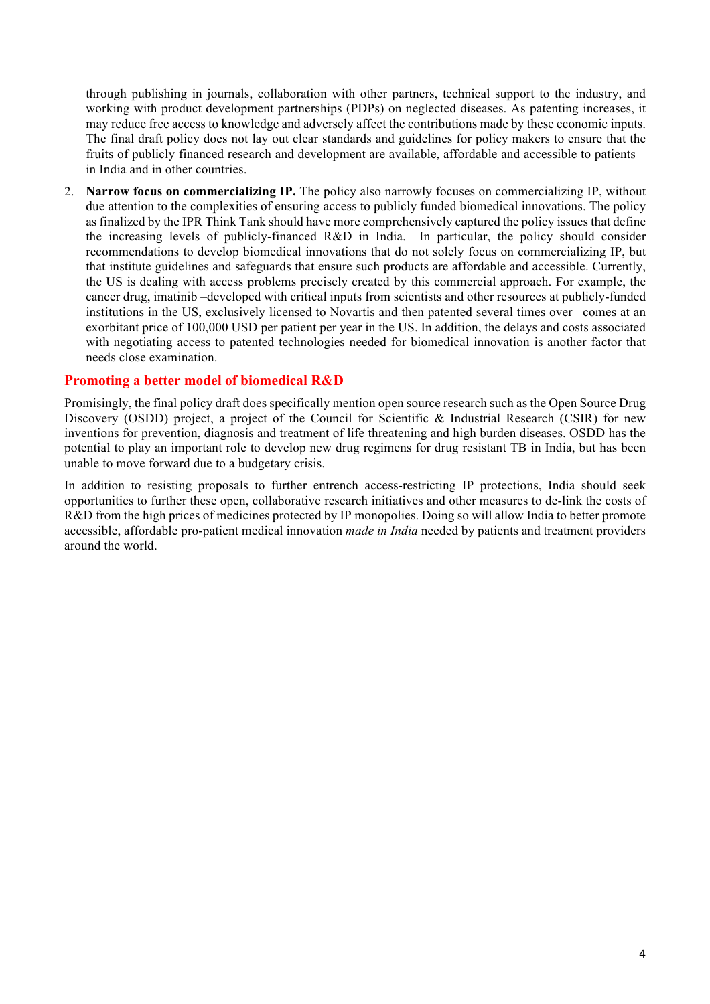through publishing in journals, collaboration with other partners, technical support to the industry, and working with product development partnerships (PDPs) on neglected diseases. As patenting increases, it may reduce free access to knowledge and adversely affect the contributions made by these economic inputs. The final draft policy does not lay out clear standards and guidelines for policy makers to ensure that the fruits of publicly financed research and development are available, affordable and accessible to patients – in India and in other countries.

2. **Narrow focus on commercializing IP.** The policy also narrowly focuses on commercializing IP, without due attention to the complexities of ensuring access to publicly funded biomedical innovations. The policy as finalized by the IPR Think Tank should have more comprehensively captured the policy issues that define the increasing levels of publicly-financed R&D in India. In particular, the policy should consider recommendations to develop biomedical innovations that do not solely focus on commercializing IP, but that institute guidelines and safeguards that ensure such products are affordable and accessible. Currently, the US is dealing with access problems precisely created by this commercial approach. For example, the cancer drug, imatinib –developed with critical inputs from scientists and other resources at publicly-funded institutions in the US, exclusively licensed to Novartis and then patented several times over –comes at an exorbitant price of 100,000 USD per patient per year in the US. In addition, the delays and costs associated with negotiating access to patented technologies needed for biomedical innovation is another factor that needs close examination.

# **Promoting a better model of biomedical R&D**

Promisingly, the final policy draft does specifically mention open source research such as the Open Source Drug Discovery (OSDD) project, a project of the Council for Scientific & Industrial Research (CSIR) for new inventions for prevention, diagnosis and treatment of life threatening and high burden diseases. OSDD has the potential to play an important role to develop new drug regimens for drug resistant TB in India, but has been unable to move forward due to a budgetary crisis.

In addition to resisting proposals to further entrench access-restricting IP protections, India should seek opportunities to further these open, collaborative research initiatives and other measures to de-link the costs of R&D from the high prices of medicines protected by IP monopolies. Doing so will allow India to better promote accessible, affordable pro-patient medical innovation *made in India* needed by patients and treatment providers around the world.